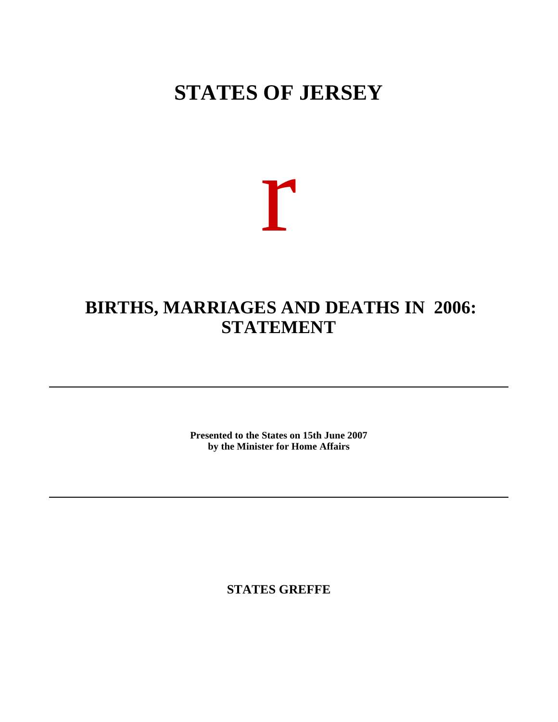## **STATES OF JERSEY**

# r

## **BIRTHS, MARRIAGES AND DEATHS IN 2006: STATEMENT**

**Presented to the States on 15th June 2007 by the Minister for Home Affairs**

**STATES GREFFE**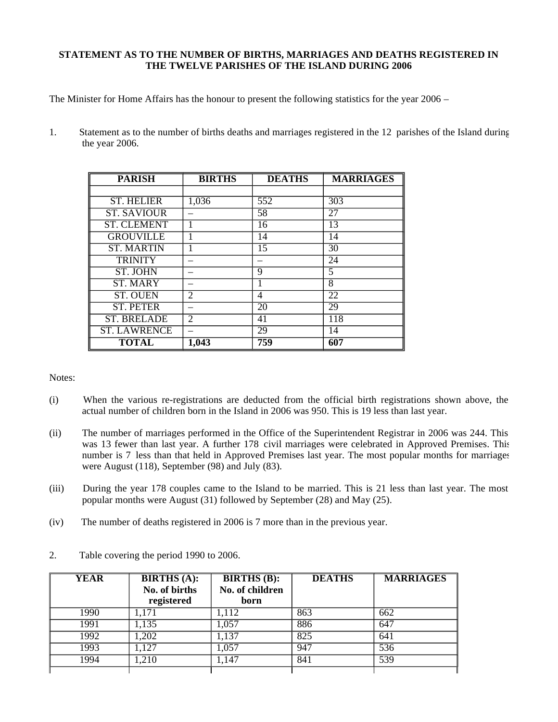### **STATEMENT AS TO THE NUMBER OF BIRTHS, MARRIAGES AND DEATHS REGISTERED IN THE TWELVE PARISHES OF THE ISLAND DURING 2006**

The Minister for Home Affairs has the honour to present the following statistics for the year 2006 –

1. Statement as to the number of births deaths and marriages registered in the 12 parishes of the Island during the year 2006.

| <b>PARISH</b>       | <b>BIRTHS</b> | <b>DEATHS</b>   | <b>MARRIAGES</b> |
|---------------------|---------------|-----------------|------------------|
|                     |               |                 |                  |
| <b>ST. HELIER</b>   | 1,036         | 552             | 303              |
| <b>ST. SAVIOUR</b>  |               | 58              | 27               |
| <b>ST. CLEMENT</b>  |               | $\overline{16}$ | 13               |
| <b>GROUVILLE</b>    |               | 14              | 14               |
| <b>ST. MARTIN</b>   |               | 15              | 30               |
| <b>TRINITY</b>      |               |                 | $\overline{24}$  |
| <b>ST. JOHN</b>     |               | 9               | 5                |
| <b>ST. MARY</b>     |               |                 | 8                |
| <b>ST. OUEN</b>     | 2             | 4               | 22               |
| <b>ST. PETER</b>    |               | $\overline{20}$ | 29               |
| <b>ST. BRELADE</b>  | 2             | 41              | 118              |
| <b>ST. LAWRENCE</b> |               | 29              | 14               |
| <b>TOTAL</b>        | 1,043         | 759             | 607              |

Notes:

- (i) When the various re-registrations are deducted from the official birth registrations shown above, the actual number of children born in the Island in 2006 was 950. This is 19 less than last year.
- (ii) The number of marriages performed in the Office of the Superintendent Registrar in 2006 was 244. This was 13 fewer than last year. A further 178 civil marriages were celebrated in Approved Premises. This number is 7 less than that held in Approved Premises last year. The most popular months for marriages were August (118), September (98) and July (83).
- (iii) During the year 178 couples came to the Island to be married. This is 21 less than last year. The most popular months were August (31) followed by September (28) and May (25).
- (iv) The number of deaths registered in 2006 is 7 more than in the previous year.

| <b>YEAR</b> | <b>BIRTHS</b> (A):<br>No. of births | <b>BIRTHS</b> (B):<br>No. of children | <b>DEATHS</b> | <b>MARRIAGES</b> |
|-------------|-------------------------------------|---------------------------------------|---------------|------------------|
|             | registered                          | born                                  |               |                  |
| 1990        | 1,171                               | ,112                                  | 863           | 662              |
| 1991        | 1,135                               | 1,057                                 | 886           | 647              |
| 1992        | ,202                                | ,137                                  | 825           | 641              |
| 1993        | ,127                                | 1.057                                 | 947           | 536              |
| 1994        | ,210                                | ,147                                  | 841           | 539              |
|             |                                     |                                       |               |                  |

2. Table covering the period 1990 to 2006.